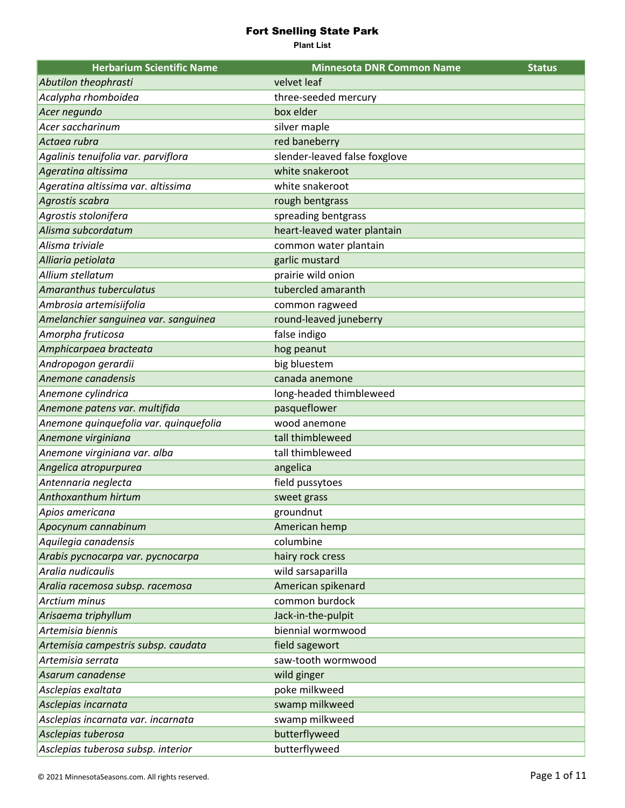| <b>Herbarium Scientific Name</b>       | <b>Minnesota DNR Common Name</b> | <b>Status</b> |
|----------------------------------------|----------------------------------|---------------|
| Abutilon theophrasti                   | velvet leaf                      |               |
| Acalypha rhomboidea                    | three-seeded mercury             |               |
| Acer negundo                           | box elder                        |               |
| Acer saccharinum                       | silver maple                     |               |
| Actaea rubra                           | red baneberry                    |               |
| Agalinis tenuifolia var. parviflora    | slender-leaved false foxglove    |               |
| Ageratina altissima                    | white snakeroot                  |               |
| Ageratina altissima var. altissima     | white snakeroot                  |               |
| Agrostis scabra                        | rough bentgrass                  |               |
| Agrostis stolonifera                   | spreading bentgrass              |               |
| Alisma subcordatum                     | heart-leaved water plantain      |               |
| Alisma triviale                        | common water plantain            |               |
| Alliaria petiolata                     | garlic mustard                   |               |
| Allium stellatum                       | prairie wild onion               |               |
| Amaranthus tuberculatus                | tubercled amaranth               |               |
| Ambrosia artemisiifolia                | common ragweed                   |               |
| Amelanchier sanguinea var. sanguinea   | round-leaved juneberry           |               |
| Amorpha fruticosa                      | false indigo                     |               |
| Amphicarpaea bracteata                 | hog peanut                       |               |
| Andropogon gerardii                    | big bluestem                     |               |
| Anemone canadensis                     | canada anemone                   |               |
| Anemone cylindrica                     | long-headed thimbleweed          |               |
| Anemone patens var. multifida          | pasqueflower                     |               |
| Anemone quinquefolia var. quinquefolia | wood anemone                     |               |
| Anemone virginiana                     | tall thimbleweed                 |               |
| Anemone virginiana var. alba           | tall thimbleweed                 |               |
| Angelica atropurpurea                  | angelica                         |               |
| Antennaria neglecta                    | field pussytoes                  |               |
| Anthoxanthum hirtum                    | sweet grass                      |               |
| Apios americana                        | groundnut                        |               |
| Apocynum cannabinum                    | American hemp                    |               |
| Aquilegia canadensis                   | columbine                        |               |
| Arabis pycnocarpa var. pycnocarpa      | hairy rock cress                 |               |
| Aralia nudicaulis                      | wild sarsaparilla                |               |
| Aralia racemosa subsp. racemosa        | American spikenard               |               |
| <b>Arctium minus</b>                   | common burdock                   |               |
| Arisaema triphyllum                    | Jack-in-the-pulpit               |               |
| Artemisia biennis                      | biennial wormwood                |               |
| Artemisia campestris subsp. caudata    | field sagewort                   |               |
| Artemisia serrata                      | saw-tooth wormwood               |               |
| Asarum canadense                       | wild ginger                      |               |
| Asclepias exaltata                     | poke milkweed                    |               |
| Asclepias incarnata                    | swamp milkweed                   |               |
| Asclepias incarnata var. incarnata     | swamp milkweed                   |               |
| Asclepias tuberosa                     | butterflyweed                    |               |
| Asclepias tuberosa subsp. interior     | butterflyweed                    |               |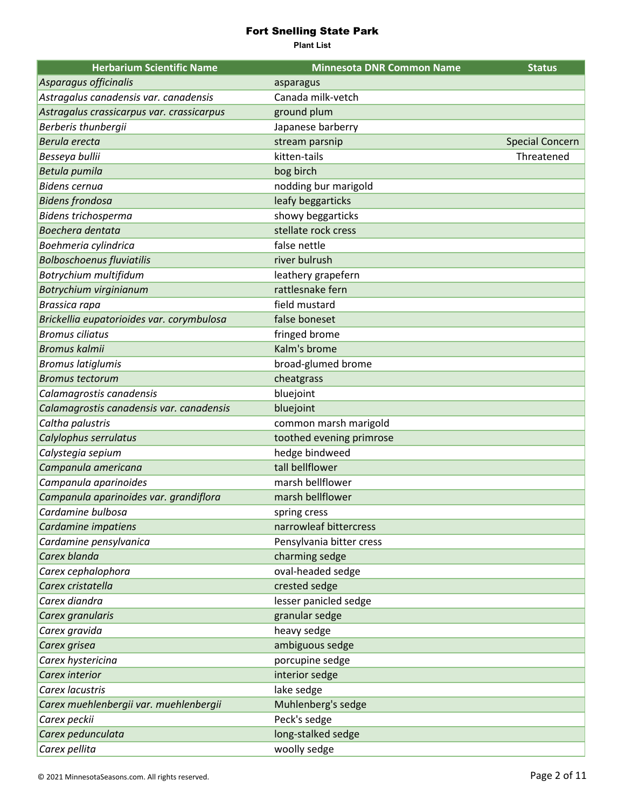| <b>Herbarium Scientific Name</b>          | <b>Minnesota DNR Common Name</b> | <b>Status</b>          |
|-------------------------------------------|----------------------------------|------------------------|
| Asparagus officinalis                     | asparagus                        |                        |
| Astragalus canadensis var. canadensis     | Canada milk-vetch                |                        |
| Astragalus crassicarpus var. crassicarpus | ground plum                      |                        |
| Berberis thunbergii                       | Japanese barberry                |                        |
| Berula erecta                             | stream parsnip                   | <b>Special Concern</b> |
| Besseya bullii                            | kitten-tails                     | Threatened             |
| Betula pumila                             | bog birch                        |                        |
| <b>Bidens cernua</b>                      | nodding bur marigold             |                        |
| <b>Bidens frondosa</b>                    | leafy beggarticks                |                        |
| Bidens trichosperma                       | showy beggarticks                |                        |
| Boechera dentata                          | stellate rock cress              |                        |
| Boehmeria cylindrica                      | false nettle                     |                        |
| <b>Bolboschoenus fluviatilis</b>          | river bulrush                    |                        |
| Botrychium multifidum                     | leathery grapefern               |                        |
| Botrychium virginianum                    | rattlesnake fern                 |                        |
| Brassica rapa                             | field mustard                    |                        |
| Brickellia eupatorioides var. corymbulosa | false boneset                    |                        |
| <b>Bromus ciliatus</b>                    | fringed brome                    |                        |
| Bromus kalmii                             | Kalm's brome                     |                        |
| <b>Bromus latiglumis</b>                  | broad-glumed brome               |                        |
| <b>Bromus tectorum</b>                    | cheatgrass                       |                        |
| Calamagrostis canadensis                  | bluejoint                        |                        |
| Calamagrostis canadensis var. canadensis  | bluejoint                        |                        |
| Caltha palustris                          | common marsh marigold            |                        |
| Calylophus serrulatus                     | toothed evening primrose         |                        |
| Calystegia sepium                         | hedge bindweed                   |                        |
| Campanula americana                       | tall bellflower                  |                        |
| Campanula aparinoides                     | marsh bellflower                 |                        |
| Campanula aparinoides var. grandiflora    | marsh bellflower                 |                        |
| Cardamine bulbosa                         | spring cress                     |                        |
| Cardamine impatiens                       | narrowleaf bittercress           |                        |
| Cardamine pensylvanica                    | Pensylvania bitter cress         |                        |
| Carex blanda                              | charming sedge                   |                        |
| Carex cephalophora                        | oval-headed sedge                |                        |
| Carex cristatella                         | crested sedge                    |                        |
| Carex diandra                             | lesser panicled sedge            |                        |
| Carex granularis                          | granular sedge                   |                        |
| Carex gravida                             | heavy sedge                      |                        |
| Carex grisea                              | ambiguous sedge                  |                        |
| Carex hystericina                         | porcupine sedge                  |                        |
| Carex interior                            | interior sedge                   |                        |
| Carex lacustris                           | lake sedge                       |                        |
| Carex muehlenbergii var. muehlenbergii    | Muhlenberg's sedge               |                        |
| Carex peckii                              | Peck's sedge                     |                        |
| Carex pedunculata                         | long-stalked sedge               |                        |
| Carex pellita                             | woolly sedge                     |                        |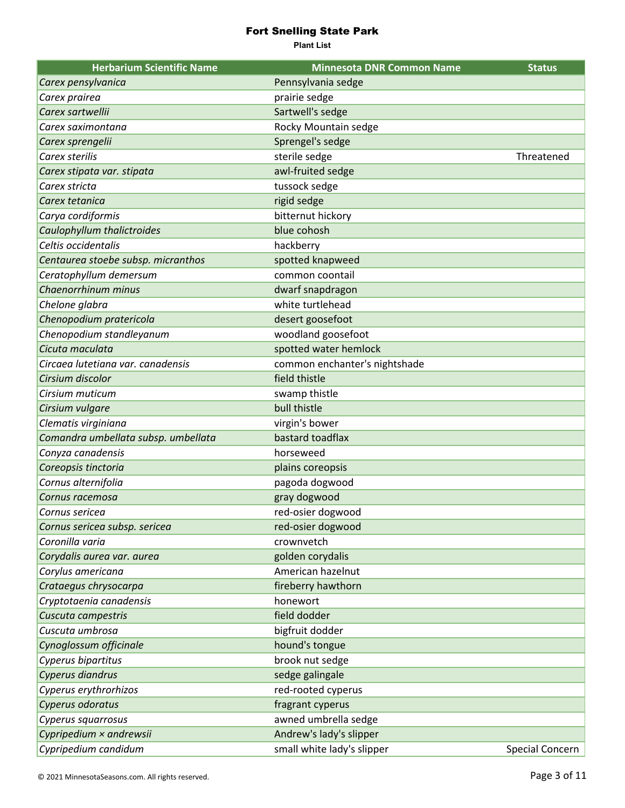| <b>Herbarium Scientific Name</b>    | <b>Minnesota DNR Common Name</b> | <b>Status</b>   |
|-------------------------------------|----------------------------------|-----------------|
| Carex pensylvanica                  | Pennsylvania sedge               |                 |
| Carex prairea                       | prairie sedge                    |                 |
| Carex sartwellii                    | Sartwell's sedge                 |                 |
| Carex saximontana                   | Rocky Mountain sedge             |                 |
| Carex sprengelii                    | Sprengel's sedge                 |                 |
| Carex sterilis                      | sterile sedge                    | Threatened      |
| Carex stipata var. stipata          | awl-fruited sedge                |                 |
| Carex stricta                       | tussock sedge                    |                 |
| Carex tetanica                      | rigid sedge                      |                 |
| Carya cordiformis                   | bitternut hickory                |                 |
| Caulophyllum thalictroides          | blue cohosh                      |                 |
| Celtis occidentalis                 | hackberry                        |                 |
| Centaurea stoebe subsp. micranthos  | spotted knapweed                 |                 |
| Ceratophyllum demersum              | common coontail                  |                 |
| Chaenorrhinum minus                 | dwarf snapdragon                 |                 |
| Chelone glabra                      | white turtlehead                 |                 |
| Chenopodium pratericola             | desert goosefoot                 |                 |
| Chenopodium standleyanum            | woodland goosefoot               |                 |
| Cicuta maculata                     | spotted water hemlock            |                 |
| Circaea lutetiana var. canadensis   | common enchanter's nightshade    |                 |
| Cirsium discolor                    | field thistle                    |                 |
| Cirsium muticum                     | swamp thistle                    |                 |
| Cirsium vulgare                     | bull thistle                     |                 |
| Clematis virginiana                 | virgin's bower                   |                 |
| Comandra umbellata subsp. umbellata | bastard toadflax                 |                 |
| Conyza canadensis                   | horseweed                        |                 |
| Coreopsis tinctoria                 | plains coreopsis                 |                 |
| Cornus alternifolia                 | pagoda dogwood                   |                 |
| Cornus racemosa                     | gray dogwood                     |                 |
| Cornus sericea                      | red-osier dogwood                |                 |
| Cornus sericea subsp. sericea       | red-osier dogwood                |                 |
| Coronilla varia                     | crownvetch                       |                 |
| Corydalis aurea var. aurea          | golden corydalis                 |                 |
| Corylus americana                   | American hazelnut                |                 |
| Crataegus chrysocarpa               | fireberry hawthorn               |                 |
| Cryptotaenia canadensis             | honewort                         |                 |
| Cuscuta campestris                  | field dodder                     |                 |
| Cuscuta umbrosa                     | bigfruit dodder                  |                 |
| Cynoglossum officinale              | hound's tongue                   |                 |
| Cyperus bipartitus                  | brook nut sedge                  |                 |
| Cyperus diandrus                    | sedge galingale                  |                 |
| Cyperus erythrorhizos               | red-rooted cyperus               |                 |
| Cyperus odoratus                    | fragrant cyperus                 |                 |
| Cyperus squarrosus                  | awned umbrella sedge             |                 |
| Cypripedium × andrewsii             | Andrew's lady's slipper          |                 |
| Cypripedium candidum                | small white lady's slipper       | Special Concern |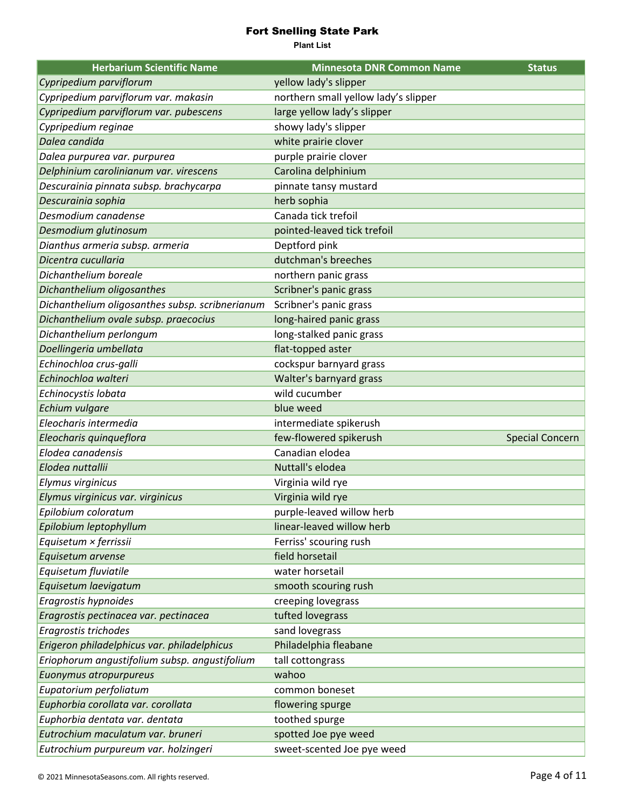| <b>Herbarium Scientific Name</b>                | <b>Minnesota DNR Common Name</b>     | <b>Status</b>          |
|-------------------------------------------------|--------------------------------------|------------------------|
| Cypripedium parviflorum                         | yellow lady's slipper                |                        |
| Cypripedium parviflorum var. makasin            | northern small yellow lady's slipper |                        |
| Cypripedium parviflorum var. pubescens          | large yellow lady's slipper          |                        |
| Cypripedium reginae                             | showy lady's slipper                 |                        |
| Dalea candida                                   | white prairie clover                 |                        |
| Dalea purpurea var. purpurea                    | purple prairie clover                |                        |
| Delphinium carolinianum var. virescens          | Carolina delphinium                  |                        |
| Descurainia pinnata subsp. brachycarpa          | pinnate tansy mustard                |                        |
| Descurainia sophia                              | herb sophia                          |                        |
| Desmodium canadense                             | Canada tick trefoil                  |                        |
| Desmodium glutinosum                            | pointed-leaved tick trefoil          |                        |
| Dianthus armeria subsp. armeria                 | Deptford pink                        |                        |
| Dicentra cucullaria                             | dutchman's breeches                  |                        |
| Dichanthelium boreale                           | northern panic grass                 |                        |
| Dichanthelium oligosanthes                      | Scribner's panic grass               |                        |
| Dichanthelium oligosanthes subsp. scribnerianum | Scribner's panic grass               |                        |
| Dichanthelium ovale subsp. praecocius           | long-haired panic grass              |                        |
| Dichanthelium perlongum                         | long-stalked panic grass             |                        |
| Doellingeria umbellata                          | flat-topped aster                    |                        |
| Echinochloa crus-galli                          | cockspur barnyard grass              |                        |
| Echinochloa walteri                             | Walter's barnyard grass              |                        |
| Echinocystis lobata                             | wild cucumber                        |                        |
| Echium vulgare                                  | blue weed                            |                        |
| Eleocharis intermedia                           | intermediate spikerush               |                        |
| Eleocharis quinqueflora                         | few-flowered spikerush               | <b>Special Concern</b> |
| Elodea canadensis                               | Canadian elodea                      |                        |
| Elodea nuttallii                                | Nuttall's elodea                     |                        |
| Elymus virginicus                               | Virginia wild rye                    |                        |
| Elymus virginicus var. virginicus               | Virginia wild rye                    |                        |
| Epilobium coloratum                             | purple-leaved willow herb            |                        |
| Epilobium leptophyllum                          | linear-leaved willow herb            |                        |
| Equisetum × ferrissii                           | Ferriss' scouring rush               |                        |
| Equisetum arvense                               | field horsetail                      |                        |
| Equisetum fluviatile                            | water horsetail                      |                        |
| Equisetum laevigatum                            | smooth scouring rush                 |                        |
| Eragrostis hypnoides                            | creeping lovegrass                   |                        |
| Eragrostis pectinacea var. pectinacea           | tufted lovegrass                     |                        |
| Eragrostis trichodes                            | sand lovegrass                       |                        |
| Erigeron philadelphicus var. philadelphicus     | Philadelphia fleabane                |                        |
| Eriophorum angustifolium subsp. angustifolium   | tall cottongrass                     |                        |
| Euonymus atropurpureus                          | wahoo                                |                        |
| Eupatorium perfoliatum                          | common boneset                       |                        |
| Euphorbia corollata var. corollata              | flowering spurge                     |                        |
| Euphorbia dentata var. dentata                  | toothed spurge                       |                        |
| Eutrochium maculatum var. bruneri               | spotted Joe pye weed                 |                        |
| Eutrochium purpureum var. holzingeri            | sweet-scented Joe pye weed           |                        |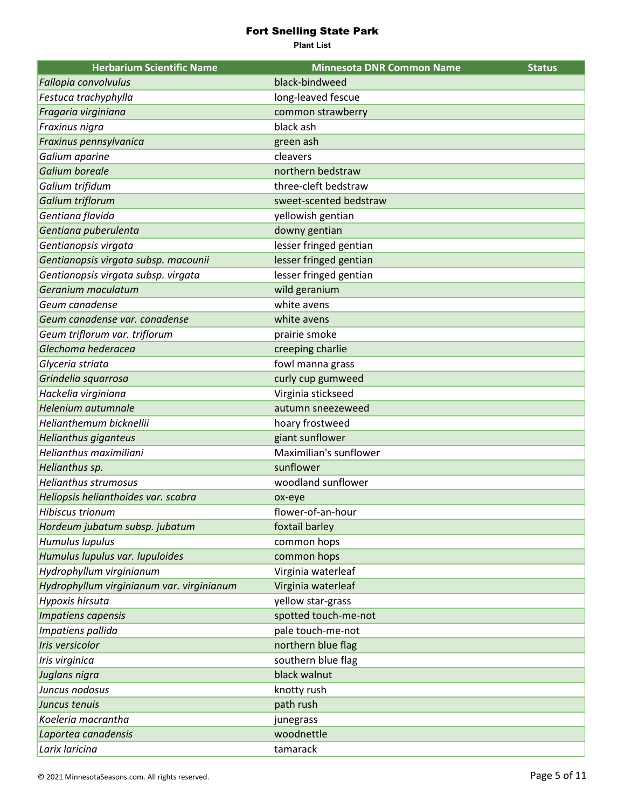| <b>Herbarium Scientific Name</b>          | <b>Minnesota DNR Common Name</b> | <b>Status</b> |
|-------------------------------------------|----------------------------------|---------------|
| Fallopia convolvulus                      | black-bindweed                   |               |
| Festuca trachyphylla                      | long-leaved fescue               |               |
| Fragaria virginiana                       | common strawberry                |               |
| Fraxinus nigra                            | black ash                        |               |
| Fraxinus pennsylvanica                    | green ash                        |               |
| Galium aparine                            | cleavers                         |               |
| Galium boreale                            | northern bedstraw                |               |
| Galium trifidum                           | three-cleft bedstraw             |               |
| Galium triflorum                          | sweet-scented bedstraw           |               |
| Gentiana flavida                          | yellowish gentian                |               |
| Gentiana puberulenta                      | downy gentian                    |               |
| Gentianopsis virgata                      | lesser fringed gentian           |               |
| Gentianopsis virgata subsp. macounii      | lesser fringed gentian           |               |
| Gentianopsis virgata subsp. virgata       | lesser fringed gentian           |               |
| Geranium maculatum                        | wild geranium                    |               |
| Geum canadense                            | white avens                      |               |
| Geum canadense var. canadense             | white avens                      |               |
| Geum triflorum var. triflorum             | prairie smoke                    |               |
| Glechoma hederacea                        | creeping charlie                 |               |
| Glyceria striata                          | fowl manna grass                 |               |
| Grindelia squarrosa                       | curly cup gumweed                |               |
| Hackelia virginiana                       | Virginia stickseed               |               |
| Helenium autumnale                        | autumn sneezeweed                |               |
| Helianthemum bicknellii                   | hoary frostweed                  |               |
| <b>Helianthus giganteus</b>               | giant sunflower                  |               |
| Helianthus maximiliani                    | Maximilian's sunflower           |               |
| Helianthus sp.                            | sunflower                        |               |
| <b>Helianthus strumosus</b>               | woodland sunflower               |               |
| Heliopsis helianthoides var. scabra       | ox-eye                           |               |
| Hibiscus trionum                          | flower-of-an-hour                |               |
| Hordeum jubatum subsp. jubatum            | foxtail barley                   |               |
| Humulus lupulus                           | common hops                      |               |
| Humulus lupulus var. lupuloides           | common hops                      |               |
| Hydrophyllum virginianum                  | Virginia waterleaf               |               |
| Hydrophyllum virginianum var. virginianum | Virginia waterleaf               |               |
| Hypoxis hirsuta                           | yellow star-grass                |               |
| Impatiens capensis                        | spotted touch-me-not             |               |
| Impatiens pallida                         | pale touch-me-not                |               |
| Iris versicolor                           | northern blue flag               |               |
| Iris virginica                            | southern blue flag               |               |
| Juglans nigra                             | black walnut                     |               |
| Juncus nodosus                            | knotty rush                      |               |
| Juncus tenuis                             | path rush                        |               |
| Koeleria macrantha                        | junegrass                        |               |
| Laportea canadensis                       | woodnettle                       |               |
| Larix laricina                            | tamarack                         |               |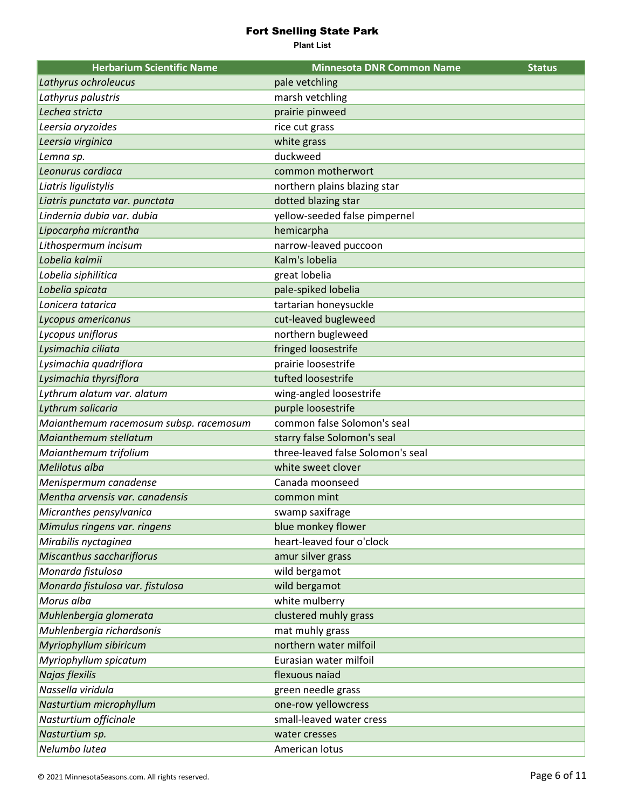| <b>Herbarium Scientific Name</b>       | <b>Minnesota DNR Common Name</b>  | <b>Status</b> |
|----------------------------------------|-----------------------------------|---------------|
| Lathyrus ochroleucus                   | pale vetchling                    |               |
| Lathyrus palustris                     | marsh vetchling                   |               |
| Lechea stricta                         | prairie pinweed                   |               |
| Leersia oryzoides                      | rice cut grass                    |               |
| Leersia virginica                      | white grass                       |               |
| Lemna sp.                              | duckweed                          |               |
| Leonurus cardiaca                      | common motherwort                 |               |
| Liatris ligulistylis                   | northern plains blazing star      |               |
| Liatris punctata var. punctata         | dotted blazing star               |               |
| Lindernia dubia var. dubia             | yellow-seeded false pimpernel     |               |
| Lipocarpha micrantha                   | hemicarpha                        |               |
| Lithospermum incisum                   | narrow-leaved puccoon             |               |
| Lobelia kalmii                         | Kalm's lobelia                    |               |
| Lobelia siphilitica                    | great lobelia                     |               |
| Lobelia spicata                        | pale-spiked lobelia               |               |
| Lonicera tatarica                      | tartarian honeysuckle             |               |
| Lycopus americanus                     | cut-leaved bugleweed              |               |
| Lycopus uniflorus                      | northern bugleweed                |               |
| Lysimachia ciliata                     | fringed loosestrife               |               |
| Lysimachia quadriflora                 | prairie loosestrife               |               |
| Lysimachia thyrsiflora                 | tufted loosestrife                |               |
| Lythrum alatum var. alatum             | wing-angled loosestrife           |               |
| Lythrum salicaria                      | purple loosestrife                |               |
| Maianthemum racemosum subsp. racemosum | common false Solomon's seal       |               |
| Maianthemum stellatum                  | starry false Solomon's seal       |               |
| Maianthemum trifolium                  | three-leaved false Solomon's seal |               |
| Melilotus alba                         | white sweet clover                |               |
| Menispermum canadense                  | Canada moonseed                   |               |
| Mentha arvensis var. canadensis        | common mint                       |               |
| Micranthes pensylvanica                | swamp saxifrage                   |               |
| Mimulus ringens var. ringens           | blue monkey flower                |               |
| Mirabilis nyctaginea                   | heart-leaved four o'clock         |               |
| Miscanthus sacchariflorus              | amur silver grass                 |               |
| Monarda fistulosa                      | wild bergamot                     |               |
| Monarda fistulosa var. fistulosa       | wild bergamot                     |               |
| Morus alba                             | white mulberry                    |               |
| Muhlenbergia glomerata                 | clustered muhly grass             |               |
| Muhlenbergia richardsonis              | mat muhly grass                   |               |
| Myriophyllum sibiricum                 | northern water milfoil            |               |
| Myriophyllum spicatum                  | Eurasian water milfoil            |               |
| Najas flexilis                         | flexuous naiad                    |               |
| Nassella viridula                      | green needle grass                |               |
| Nasturtium microphyllum                | one-row yellowcress               |               |
| Nasturtium officinale                  | small-leaved water cress          |               |
| Nasturtium sp.                         | water cresses                     |               |
| Nelumbo lutea                          | American lotus                    |               |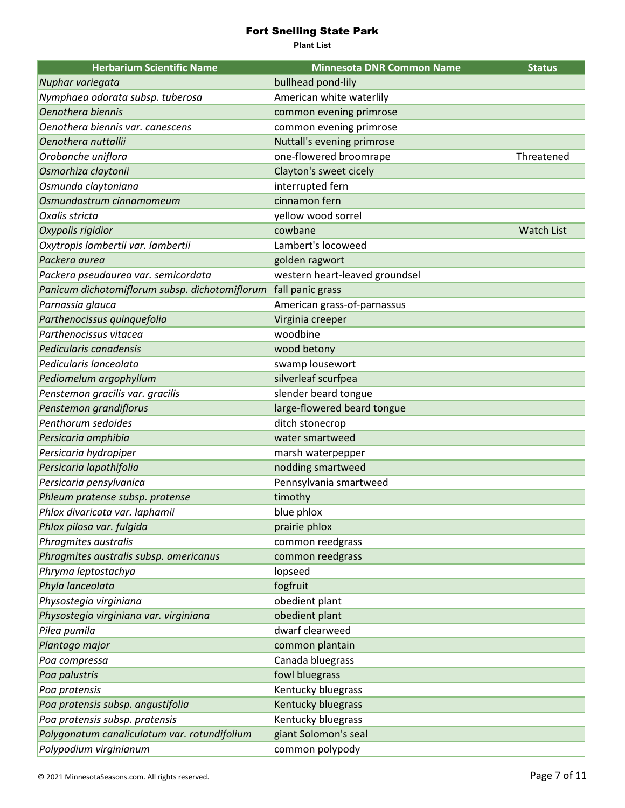| <b>Herbarium Scientific Name</b>               | <b>Minnesota DNR Common Name</b> | <b>Status</b>     |
|------------------------------------------------|----------------------------------|-------------------|
| Nuphar variegata                               | bullhead pond-lily               |                   |
| Nymphaea odorata subsp. tuberosa               | American white waterlily         |                   |
| Oenothera biennis                              | common evening primrose          |                   |
| Oenothera biennis var. canescens               | common evening primrose          |                   |
| Oenothera nuttallii                            | Nuttall's evening primrose       |                   |
| Orobanche uniflora                             | one-flowered broomrape           | Threatened        |
| Osmorhiza claytonii                            | Clayton's sweet cicely           |                   |
| Osmunda claytoniana                            | interrupted fern                 |                   |
| Osmundastrum cinnamomeum                       | cinnamon fern                    |                   |
| Oxalis stricta                                 | yellow wood sorrel               |                   |
| Oxypolis rigidior                              | cowbane                          | <b>Watch List</b> |
| Oxytropis lambertii var. lambertii             | Lambert's locoweed               |                   |
| Packera aurea                                  | golden ragwort                   |                   |
| Packera pseudaurea var. semicordata            | western heart-leaved groundsel   |                   |
| Panicum dichotomiflorum subsp. dichotomiflorum | fall panic grass                 |                   |
| Parnassia glauca                               | American grass-of-parnassus      |                   |
| Parthenocissus quinquefolia                    | Virginia creeper                 |                   |
| Parthenocissus vitacea                         | woodbine                         |                   |
| Pedicularis canadensis                         | wood betony                      |                   |
| Pedicularis lanceolata                         | swamp lousewort                  |                   |
| Pediomelum argophyllum                         | silverleaf scurfpea              |                   |
| Penstemon gracilis var. gracilis               | slender beard tongue             |                   |
| Penstemon grandiflorus                         | large-flowered beard tongue      |                   |
| Penthorum sedoides                             | ditch stonecrop                  |                   |
| Persicaria amphibia                            | water smartweed                  |                   |
| Persicaria hydropiper                          | marsh waterpepper                |                   |
| Persicaria lapathifolia                        | nodding smartweed                |                   |
| Persicaria pensylvanica                        | Pennsylvania smartweed           |                   |
| Phleum pratense subsp. pratense                | timothy                          |                   |
| Phlox divaricata var. laphamii                 | blue phlox                       |                   |
| Phlox pilosa var. fulgida                      | prairie phlox                    |                   |
| Phragmites australis                           | common reedgrass                 |                   |
| Phragmites australis subsp. americanus         | common reedgrass                 |                   |
| Phryma leptostachya                            | lopseed                          |                   |
| Phyla lanceolata                               | fogfruit                         |                   |
| Physostegia virginiana                         | obedient plant                   |                   |
| Physostegia virginiana var. virginiana         | obedient plant                   |                   |
| Pilea pumila                                   | dwarf clearweed                  |                   |
| Plantago major                                 | common plantain                  |                   |
| Poa compressa                                  | Canada bluegrass                 |                   |
| Poa palustris                                  | fowl bluegrass                   |                   |
| Poa pratensis                                  | Kentucky bluegrass               |                   |
| Poa pratensis subsp. angustifolia              | Kentucky bluegrass               |                   |
| Poa pratensis subsp. pratensis                 | Kentucky bluegrass               |                   |
| Polygonatum canaliculatum var. rotundifolium   | giant Solomon's seal             |                   |
| Polypodium virginianum                         | common polypody                  |                   |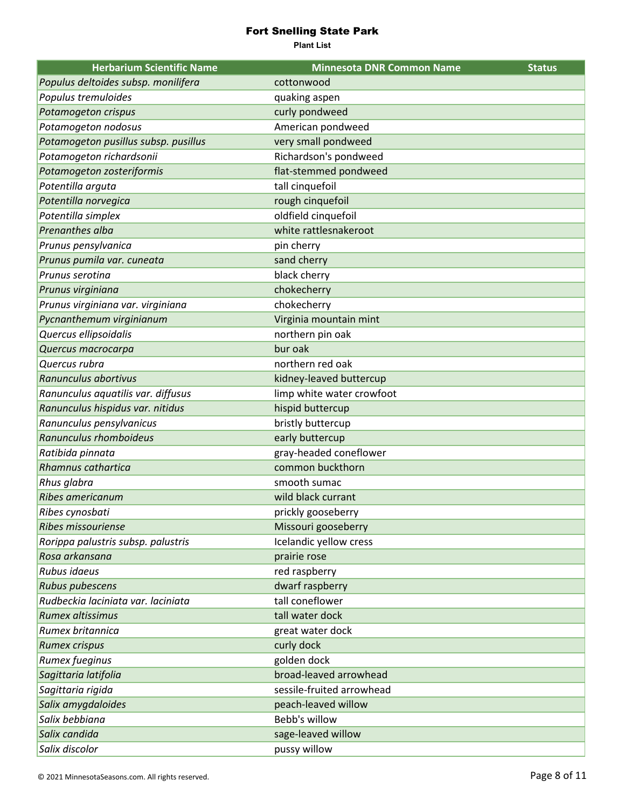| <b>Herbarium Scientific Name</b>     | <b>Minnesota DNR Common Name</b> | <b>Status</b> |
|--------------------------------------|----------------------------------|---------------|
| Populus deltoides subsp. monilifera  | cottonwood                       |               |
| Populus tremuloides                  | quaking aspen                    |               |
| Potamogeton crispus                  | curly pondweed                   |               |
| Potamogeton nodosus                  | American pondweed                |               |
| Potamogeton pusillus subsp. pusillus | very small pondweed              |               |
| Potamogeton richardsonii             | Richardson's pondweed            |               |
| Potamogeton zosteriformis            | flat-stemmed pondweed            |               |
| Potentilla arguta                    | tall cinquefoil                  |               |
| Potentilla norvegica                 | rough cinquefoil                 |               |
| Potentilla simplex                   | oldfield cinquefoil              |               |
| Prenanthes alba                      | white rattlesnakeroot            |               |
| Prunus pensylvanica                  | pin cherry                       |               |
| Prunus pumila var. cuneata           | sand cherry                      |               |
| Prunus serotina                      | black cherry                     |               |
| Prunus virginiana                    | chokecherry                      |               |
| Prunus virginiana var. virginiana    | chokecherry                      |               |
| Pycnanthemum virginianum             | Virginia mountain mint           |               |
| Quercus ellipsoidalis                | northern pin oak                 |               |
| Quercus macrocarpa                   | bur oak                          |               |
| Quercus rubra                        | northern red oak                 |               |
| Ranunculus abortivus                 | kidney-leaved buttercup          |               |
| Ranunculus aquatilis var. diffusus   | limp white water crowfoot        |               |
| Ranunculus hispidus var. nitidus     | hispid buttercup                 |               |
| Ranunculus pensylvanicus             | bristly buttercup                |               |
| Ranunculus rhomboideus               | early buttercup                  |               |
| Ratibida pinnata                     | gray-headed coneflower           |               |
| Rhamnus cathartica                   | common buckthorn                 |               |
| Rhus glabra                          | smooth sumac                     |               |
| <b>Ribes americanum</b>              | wild black currant               |               |
| Ribes cynosbati                      | prickly gooseberry               |               |
| <b>Ribes missouriense</b>            | Missouri gooseberry              |               |
| Rorippa palustris subsp. palustris   | Icelandic yellow cress           |               |
| Rosa arkansana                       | prairie rose                     |               |
| Rubus idaeus                         | red raspberry                    |               |
| Rubus pubescens                      | dwarf raspberry                  |               |
| Rudbeckia laciniata var. laciniata   | tall coneflower                  |               |
| <b>Rumex altissimus</b>              | tall water dock                  |               |
| Rumex britannica                     | great water dock                 |               |
| <b>Rumex crispus</b>                 | curly dock                       |               |
| Rumex fueginus                       | golden dock                      |               |
| Sagittaria latifolia                 | broad-leaved arrowhead           |               |
| Sagittaria rigida                    | sessile-fruited arrowhead        |               |
| Salix amygdaloides                   | peach-leaved willow              |               |
| Salix bebbiana                       | Bebb's willow                    |               |
| Salix candida                        | sage-leaved willow               |               |
| Salix discolor                       | pussy willow                     |               |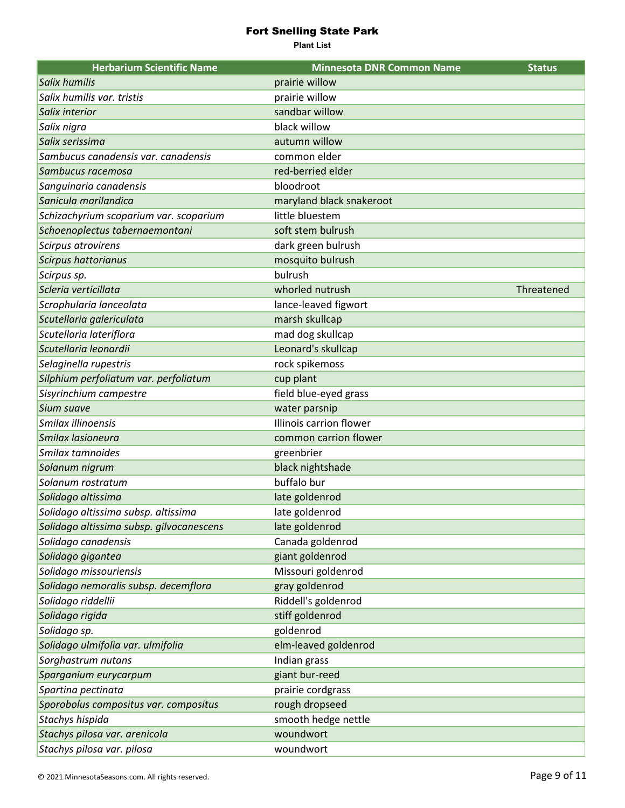| <b>Herbarium Scientific Name</b>         | <b>Minnesota DNR Common Name</b> | <b>Status</b> |
|------------------------------------------|----------------------------------|---------------|
| Salix humilis                            | prairie willow                   |               |
| Salix humilis var. tristis               | prairie willow                   |               |
| Salix interior                           | sandbar willow                   |               |
| Salix nigra                              | black willow                     |               |
| Salix serissima                          | autumn willow                    |               |
| Sambucus canadensis var. canadensis      | common elder                     |               |
| Sambucus racemosa                        | red-berried elder                |               |
| Sanguinaria canadensis                   | bloodroot                        |               |
| Sanicula marilandica                     | maryland black snakeroot         |               |
| Schizachyrium scoparium var. scoparium   | little bluestem                  |               |
| Schoenoplectus tabernaemontani           | soft stem bulrush                |               |
| Scirpus atrovirens                       | dark green bulrush               |               |
| <b>Scirpus hattorianus</b>               | mosquito bulrush                 |               |
| Scirpus sp.                              | bulrush                          |               |
| Scleria verticillata                     | whorled nutrush                  | Threatened    |
| Scrophularia lanceolata                  | lance-leaved figwort             |               |
| Scutellaria galericulata                 | marsh skullcap                   |               |
| Scutellaria lateriflora                  | mad dog skullcap                 |               |
| Scutellaria leonardii                    | Leonard's skullcap               |               |
| Selaginella rupestris                    | rock spikemoss                   |               |
| Silphium perfoliatum var. perfoliatum    | cup plant                        |               |
| Sisyrinchium campestre                   | field blue-eyed grass            |               |
| Sium suave                               | water parsnip                    |               |
| Smilax illinoensis                       | Illinois carrion flower          |               |
| Smilax lasioneura                        | common carrion flower            |               |
| Smilax tamnoides                         | greenbrier                       |               |
| Solanum nigrum                           | black nightshade                 |               |
| Solanum rostratum                        | buffalo bur                      |               |
| Solidago altissima                       | late goldenrod                   |               |
| Solidago altissima subsp. altissima      | late goldenrod                   |               |
| Solidago altissima subsp. gilvocanescens | late goldenrod                   |               |
| Solidago canadensis                      | Canada goldenrod                 |               |
| Solidago gigantea                        | giant goldenrod                  |               |
| Solidago missouriensis                   | Missouri goldenrod               |               |
| Solidago nemoralis subsp. decemflora     | gray goldenrod                   |               |
| Solidago riddellii                       | Riddell's goldenrod              |               |
| Solidago rigida                          | stiff goldenrod                  |               |
| Solidago sp.                             | goldenrod                        |               |
| Solidago ulmifolia var. ulmifolia        | elm-leaved goldenrod             |               |
| Sorghastrum nutans                       | Indian grass                     |               |
| Sparganium eurycarpum                    | giant bur-reed                   |               |
| Spartina pectinata                       | prairie cordgrass                |               |
| Sporobolus compositus var. compositus    | rough dropseed                   |               |
| Stachys hispida                          | smooth hedge nettle              |               |
| Stachys pilosa var. arenicola            | woundwort                        |               |
| Stachys pilosa var. pilosa               | woundwort                        |               |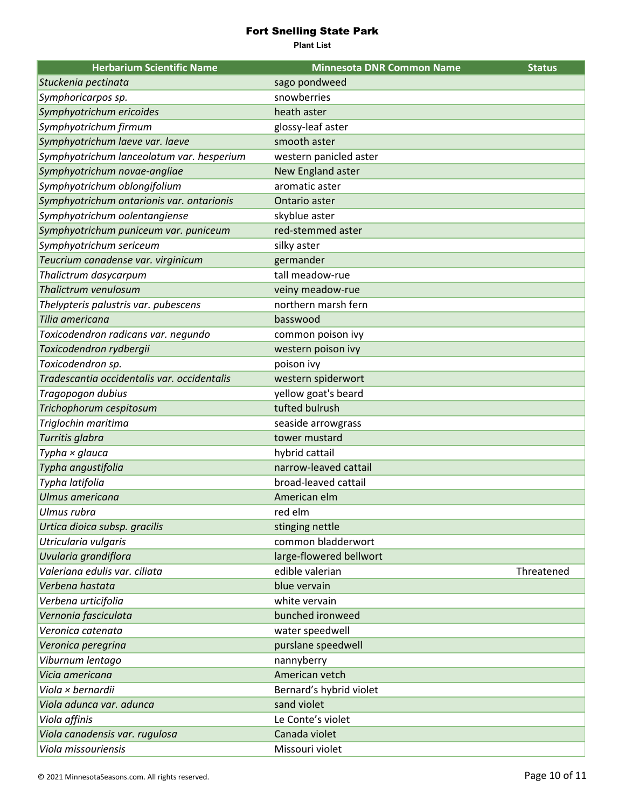| <b>Herbarium Scientific Name</b>            | <b>Minnesota DNR Common Name</b> | <b>Status</b> |
|---------------------------------------------|----------------------------------|---------------|
| Stuckenia pectinata                         | sago pondweed                    |               |
| Symphoricarpos sp.                          | snowberries                      |               |
| Symphyotrichum ericoides                    | heath aster                      |               |
| Symphyotrichum firmum                       | glossy-leaf aster                |               |
| Symphyotrichum laeve var. laeve             | smooth aster                     |               |
| Symphyotrichum lanceolatum var. hesperium   | western panicled aster           |               |
| Symphyotrichum novae-angliae                | New England aster                |               |
| Symphyotrichum oblongifolium                | aromatic aster                   |               |
| Symphyotrichum ontarionis var. ontarionis   | Ontario aster                    |               |
| Symphyotrichum oolentangiense               | skyblue aster                    |               |
| Symphyotrichum puniceum var. puniceum       | red-stemmed aster                |               |
| Symphyotrichum sericeum                     | silky aster                      |               |
| Teucrium canadense var. virginicum          | germander                        |               |
| Thalictrum dasycarpum                       | tall meadow-rue                  |               |
| Thalictrum venulosum                        | veiny meadow-rue                 |               |
| Thelypteris palustris var. pubescens        | northern marsh fern              |               |
| Tilia americana                             | basswood                         |               |
| Toxicodendron radicans var. negundo         | common poison ivy                |               |
| Toxicodendron rydbergii                     | western poison ivy               |               |
| Toxicodendron sp.                           | poison ivy                       |               |
| Tradescantia occidentalis var. occidentalis | western spiderwort               |               |
| Tragopogon dubius                           | yellow goat's beard              |               |
| Trichophorum cespitosum                     | tufted bulrush                   |               |
| Triglochin maritima                         | seaside arrowgrass               |               |
| Turritis glabra                             | tower mustard                    |               |
| Typha × glauca                              | hybrid cattail                   |               |
| Typha angustifolia                          | narrow-leaved cattail            |               |
| Typha latifolia                             | broad-leaved cattail             |               |
| Ulmus americana                             | American elm                     |               |
| Ulmus rubra                                 | red elm                          |               |
| Urtica dioica subsp. gracilis               | stinging nettle                  |               |
| Utricularia vulgaris                        | common bladderwort               |               |
| Uvularia grandiflora                        | large-flowered bellwort          |               |
| Valeriana edulis var. ciliata               | edible valerian                  | Threatened    |
| Verbena hastata                             | blue vervain                     |               |
| Verbena urticifolia                         | white vervain                    |               |
| Vernonia fasciculata                        | bunched ironweed                 |               |
| Veronica catenata                           | water speedwell                  |               |
| Veronica peregrina                          | purslane speedwell               |               |
| Viburnum lentago                            | nannyberry                       |               |
| Vicia americana                             | American vetch                   |               |
| Viola × bernardii                           | Bernard's hybrid violet          |               |
| Viola adunca var. adunca                    | sand violet                      |               |
| Viola affinis                               | Le Conte's violet                |               |
| Viola canadensis var. rugulosa              | Canada violet                    |               |
| Viola missouriensis                         | Missouri violet                  |               |